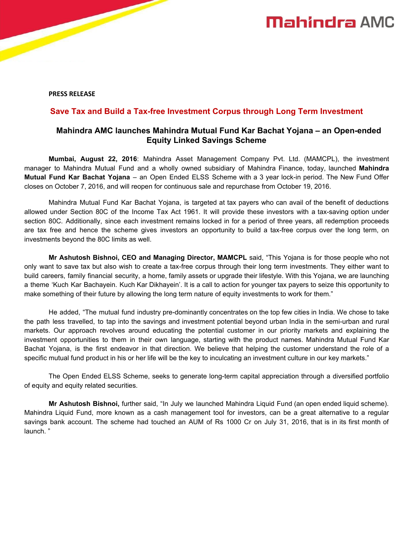**PRESS RELEASE**

## **Save Tax and Build a Tax-free Investment Corpus through Long Term Investment**

## **Mahindra AMC launches Mahindra Mutual Fund Kar Bachat Yojana – an Open-ended Equity Linked Savings Scheme**

**Mumbai, August 22, 2016**: Mahindra Asset Management Company Pvt. Ltd. (MAMCPL), the investment manager to Mahindra Mutual Fund and a wholly owned subsidiary of Mahindra Finance, today, launched **Mahindra Mutual Fund Kar Bachat Yojana** – an Open Ended ELSS Scheme with a 3 year lock-in period. The New Fund Offer closes on October 7, 2016, and will reopen for continuous sale and repurchase from October 19, 2016.

Mahindra Mutual Fund Kar Bachat Yojana, is targeted at tax payers who can avail of the benefit of deductions allowed under Section 80C of the Income Tax Act 1961. It will provide these investors with a tax-saving option under section 80C. Additionally, since each investment remains locked in for a period of three years, all redemption proceeds are tax free and hence the scheme gives investors an opportunity to build a tax-free corpus over the long term, on investments beyond the 80C limits as well.

**Mr Ashutosh Bishnoi, CEO and Managing Director, MAMCPL** said, "This Yojana is for those people who not only want to save tax but also wish to create a tax-free corpus through their long term investments. They either want to build careers, family financial security, a home, family assets or upgrade their lifestyle. With this Yojana, we are launching a theme 'Kuch Kar Bachayein. Kuch Kar Dikhayein'. It is a call to action for younger tax payers to seize this opportunity to make something of their future by allowing the long term nature of equity investments to work for them."

He added, "The mutual fund industry pre-dominantly concentrates on the top few cities in India. We chose to take the path less travelled, to tap into the savings and investment potential beyond urban India in the semi-urban and rural markets. Our approach revolves around educating the potential customer in our priority markets and explaining the investment opportunities to them in their own language, starting with the product names. Mahindra Mutual Fund Kar Bachat Yojana, is the first endeavor in that direction. We believe that helping the customer understand the role of a specific mutual fund product in his or her life will be the key to inculcating an investment culture in our key markets."

The Open Ended ELSS Scheme, seeks to generate long-term capital appreciation through a diversified portfolio of equity and equity related securities.

**Mr Ashutosh Bishnoi,** further said, "In July we launched Mahindra Liquid Fund (an open ended liquid scheme). Mahindra Liquid Fund, more known as a cash management tool for investors, can be a great alternative to a regular savings bank account. The scheme had touched an AUM of Rs 1000 Cr on July 31, 2016, that is in its first month of launch. "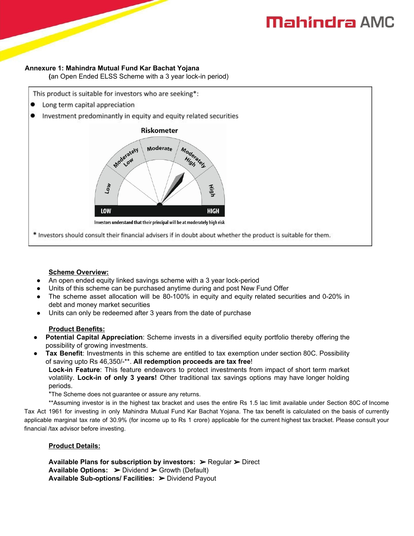# **Mahindra AMC**

#### **Annexure 1: Mahindra Mutual Fund Kar Bachat Yojana**

**(**an Open Ended ELSS Scheme with a 3 year lock-in period)

This product is suitable for investors who are seeking\*:

- Long term capital appreciation .
- Investment predominantly in equity and equity related securities



\* Investors should consult their financial advisers if in doubt about whether the product is suitable for them.

# **Scheme Overview:**

- An open ended equity linked savings scheme with a 3 year lock-period
- Units of this scheme can be purchased anytime during and post New Fund Offer
- The scheme asset allocation will be 80-100% in equity and equity related securities and 0-20% in debt and money market securities
- Units can only be redeemed after 3 years from the date of purchase

# **Product Benefits:**

- **Potential Capital Appreciation**: Scheme invests in a diversified equity portfolio thereby offering the possibility of growing investments.
- **Tax Benefit:** Investments in this scheme are entitled to tax exemption under section 80C. Possibility of saving upto Rs 46,350/-\*\*. **All redemption proceeds are tax free**!

**Lock-in Feature**: This feature endeavors to protect investments from impact of short term market volatility. **Lock-in of only 3 years!** Other traditional tax savings options may have longer holding periods.

\*The Scheme does not guarantee or assure any returns.

\*\*Assuming investor is in the highest tax bracket and uses the entire Rs 1.5 lac limit available under Section 80C of Income Tax Act 1961 for investing in only Mahindra Mutual Fund Kar Bachat Yojana. The tax benefit is calculated on the basis of currently applicable marginal tax rate of 30.9% (for income up to Rs 1 crore) applicable for the current highest tax bracket. Please consult your financial /tax advisor before investing.

# **Product Details:**

**Available Plans for subscription by investors:** ➢ Regular ➢ Direct **Available Options: ➢ Dividend ➢ Growth (Default) Available Sub-options/ Facilities:** ➢ Dividend Payout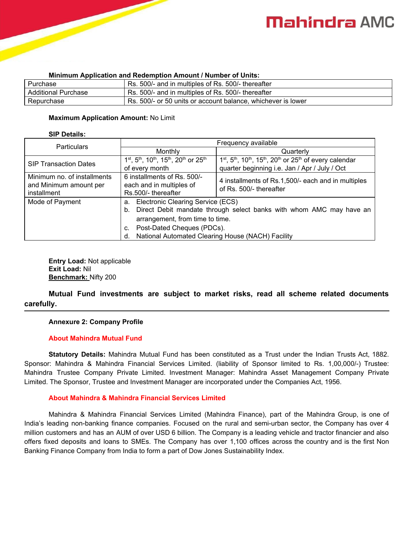# **Mahindra AMC**

| <b>MINIMUM Application and Reachiption Amount / Namber of Onits.</b> |                                                              |  |
|----------------------------------------------------------------------|--------------------------------------------------------------|--|
| Purchase                                                             | Rs. 500/- and in multiples of Rs. 500/- thereafter           |  |
| <b>Additional Purchase</b>                                           | Rs. 500/- and in multiples of Rs. 500/- thereafter           |  |
| Repurchase                                                           | Rs. 500/- or 50 units or account balance, whichever is lower |  |

#### **Minimum Application and Redemption Amount / Number of Units:**

#### **Maximum Application Amount:** No Limit

#### **SIP Details:**

| <b>Particulars</b>                                                   | Frequency available                                                                                                                                                                                                                                 |                                                                                                                       |  |
|----------------------------------------------------------------------|-----------------------------------------------------------------------------------------------------------------------------------------------------------------------------------------------------------------------------------------------------|-----------------------------------------------------------------------------------------------------------------------|--|
|                                                                      | Monthly                                                                                                                                                                                                                                             | Quarterly                                                                                                             |  |
| <b>SIP Transaction Dates</b>                                         | 1 <sup>st</sup> , 5 <sup>th</sup> , 10 <sup>th</sup> , 15 <sup>th</sup> , 20 <sup>th</sup> or 25 <sup>th</sup><br>of every month                                                                                                                    | $1st$ , $5th$ , $10th$ , $15th$ , $20th$ or $25th$ of every calendar<br>quarter beginning i.e. Jan / Apr / July / Oct |  |
| Minimum no. of installments<br>and Minimum amount per<br>installment | 6 installments of Rs. 500/-<br>each and in multiples of<br>Rs.500/- thereafter                                                                                                                                                                      | 4 installments of Rs.1,500/- each and in multiples<br>of Rs. 500/- thereafter                                         |  |
| Mode of Payment                                                      | a. Electronic Clearing Service (ECS)<br>Direct Debit mandate through select banks with whom AMC may have an<br>b.<br>arrangement, from time to time.<br>Post-Dated Cheques (PDCs).<br>C.<br>National Automated Clearing House (NACH) Facility<br>d. |                                                                                                                       |  |

**Entry Load:** Not applicable **Exit Load:** Nil **Benchmark:** Nifty 200

**Mutual Fund investments are subject to market risks, read all scheme related documents carefully.**

## **Annexure 2: Company Profile**

## **About Mahindra Mutual Fund**

**Statutory Details:** Mahindra Mutual Fund has been constituted as a Trust under the Indian Trusts Act, 1882. Sponsor: Mahindra & Mahindra Financial Services Limited. (liability of Sponsor limited to Rs. 1,00,000/-) Trustee: Mahindra Trustee Company Private Limited. Investment Manager: Mahindra Asset Management Company Private Limited. The Sponsor, Trustee and Investment Manager are incorporated under the Companies Act, 1956.

## **About Mahindra & Mahindra Financial Services Limited**

Mahindra & Mahindra Financial Services Limited (Mahindra Finance), part of the Mahindra Group, is one of India's leading non-banking finance companies. Focused on the rural and semi-urban sector, the Company has over 4 million customers and has an AUM of over USD 6 billion. The Company is a leading vehicle and tractor financier and also offers fixed deposits and loans to SMEs. The Company has over 1,100 offices across the country and is the first Non Banking Finance Company from India to form a part of Dow Jones Sustainability Index.